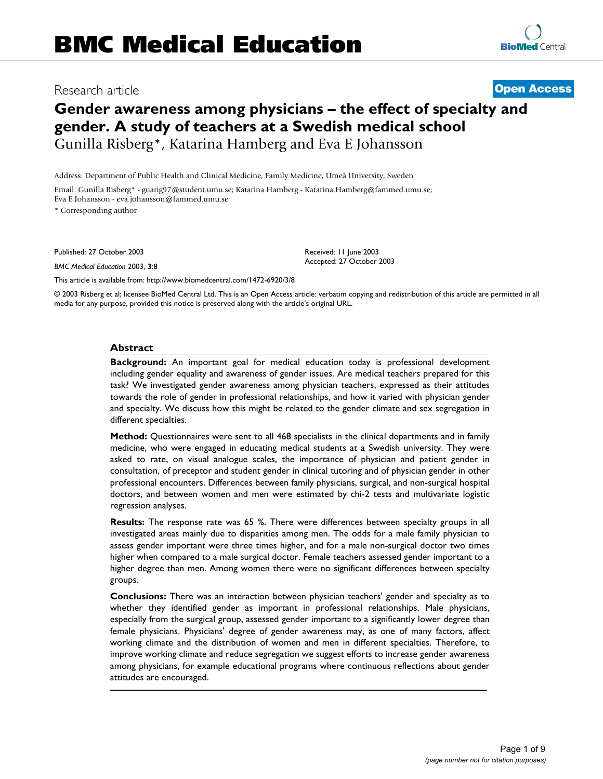# Research article **[Open Access](http://www.biomedcentral.com/info/about/charter/) Gender awareness among physicians – the effect of specialty and**

**gender. A study of teachers at a Swedish medical school** Gunilla Risberg\*, Katarina Hamberg and Eva E Johansson

Address: Department of Public Health and Clinical Medicine, Family Medicine, Umeå University, Sweden

Email: Gunilla Risberg\* - guarig97@student.umu.se; Katarina Hamberg - Katarina.Hamberg@fammed.umu.se; Eva E Johansson - eva.johansson@fammed.umu.se

\* Corresponding author

Published: 27 October 2003

*BMC Medical Education* 2003, **3**:8

[This article is available from: http://www.biomedcentral.com/1472-6920/3/8](http://www.biomedcentral.com/1472-6920/3/8)

© 2003 Risberg et al; licensee BioMed Central Ltd. This is an Open Access article: verbatim copying and redistribution of this article are permitted in all media for any purpose, provided this notice is preserved along with the article's original URL.

Received: 11 June 2003 Accepted: 27 October 2003

#### **Abstract**

**Background:** An important goal for medical education today is professional development including gender equality and awareness of gender issues. Are medical teachers prepared for this task? We investigated gender awareness among physician teachers, expressed as their attitudes towards the role of gender in professional relationships, and how it varied with physician gender and specialty. We discuss how this might be related to the gender climate and sex segregation in different specialties.

**Method:** Questionnaires were sent to all 468 specialists in the clinical departments and in family medicine, who were engaged in educating medical students at a Swedish university. They were asked to rate, on visual analogue scales, the importance of physician and patient gender in consultation, of preceptor and student gender in clinical tutoring and of physician gender in other professional encounters. Differences between family physicians, surgical, and non-surgical hospital doctors, and between women and men were estimated by chi-2 tests and multivariate logistic regression analyses.

**Results:** The response rate was 65 %. There were differences between specialty groups in all investigated areas mainly due to disparities among men. The odds for a male family physician to assess gender important were three times higher, and for a male non-surgical doctor two times higher when compared to a male surgical doctor. Female teachers assessed gender important to a higher degree than men. Among women there were no significant differences between specialty groups.

**Conclusions:** There was an interaction between physician teachers' gender and specialty as to whether they identified gender as important in professional relationships. Male physicians, especially from the surgical group, assessed gender important to a significantly lower degree than female physicians. Physicians' degree of gender awareness may, as one of many factors, affect working climate and the distribution of women and men in different specialties. Therefore, to improve working climate and reduce segregation we suggest efforts to increase gender awareness among physicians, for example educational programs where continuous reflections about gender attitudes are encouraged.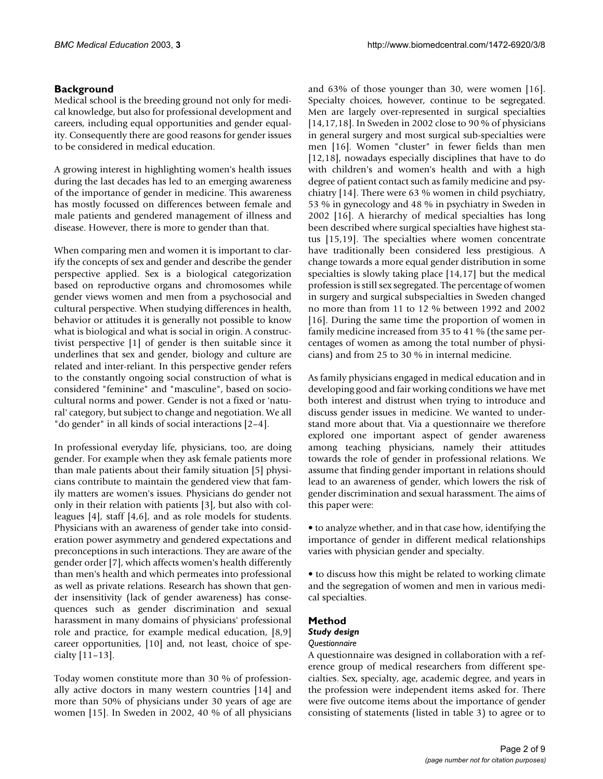## **Background**

Medical school is the breeding ground not only for medical knowledge, but also for professional development and careers, including equal opportunities and gender equality. Consequently there are good reasons for gender issues to be considered in medical education.

A growing interest in highlighting women's health issues during the last decades has led to an emerging awareness of the importance of gender in medicine. This awareness has mostly focussed on differences between female and male patients and gendered management of illness and disease. However, there is more to gender than that.

When comparing men and women it is important to clarify the concepts of sex and gender and describe the gender perspective applied. Sex is a biological categorization based on reproductive organs and chromosomes while gender views women and men from a psychosocial and cultural perspective. When studying differences in health, behavior or attitudes it is generally not possible to know what is biological and what is social in origin. A constructivist perspective [1] of gender is then suitable since it underlines that sex and gender, biology and culture are related and inter-reliant. In this perspective gender refers to the constantly ongoing social construction of what is considered "feminine" and "masculine", based on sociocultural norms and power. Gender is not a fixed or 'natural' category, but subject to change and negotiation. We all "do gender" in all kinds of social interactions [2–4].

In professional everyday life, physicians, too, are doing gender. For example when they ask female patients more than male patients about their family situation [5] physicians contribute to maintain the gendered view that family matters are women's issues. Physicians do gender not only in their relation with patients [3], but also with colleagues [4], staff [4,6], and as role models for students. Physicians with an awareness of gender take into consideration power asymmetry and gendered expectations and preconceptions in such interactions. They are aware of the gender order [7], which affects women's health differently than men's health and which permeates into professional as well as private relations. Research has shown that gender insensitivity (lack of gender awareness) has consequences such as gender discrimination and sexual harassment in many domains of physicians' professional role and practice, for example medical education, [8,9] career opportunities, [10] and, not least, choice of specialty [11–13].

Today women constitute more than 30 % of professionally active doctors in many western countries [14] and more than 50% of physicians under 30 years of age are women [15]. In Sweden in 2002, 40 % of all physicians and 63% of those younger than 30, were women [16]. Specialty choices, however, continue to be segregated. Men are largely over-represented in surgical specialties [14,17,18]. In Sweden in 2002 close to 90 % of physicians in general surgery and most surgical sub-specialties were men [16]. Women "cluster" in fewer fields than men [12,18], nowadays especially disciplines that have to do with children's and women's health and with a high degree of patient contact such as family medicine and psychiatry [14]. There were 63 % women in child psychiatry, 53 % in gynecology and 48 % in psychiatry in Sweden in 2002 [16]. A hierarchy of medical specialties has long been described where surgical specialties have highest status [15,19]. The specialties where women concentrate have traditionally been considered less prestigious. A change towards a more equal gender distribution in some specialties is slowly taking place [14,17] but the medical profession is still sex segregated. The percentage of women in surgery and surgical subspecialties in Sweden changed no more than from 11 to 12 % between 1992 and 2002 [16]. During the same time the proportion of women in family medicine increased from 35 to 41 % (the same percentages of women as among the total number of physicians) and from 25 to 30 % in internal medicine.

As family physicians engaged in medical education and in developing good and fair working conditions we have met both interest and distrust when trying to introduce and discuss gender issues in medicine. We wanted to understand more about that. Via a questionnaire we therefore explored one important aspect of gender awareness among teaching physicians, namely their attitudes towards the role of gender in professional relations. We assume that finding gender important in relations should lead to an awareness of gender, which lowers the risk of gender discrimination and sexual harassment. The aims of this paper were:

• to analyze whether, and in that case how, identifying the importance of gender in different medical relationships varies with physician gender and specialty.

• to discuss how this might be related to working climate and the segregation of women and men in various medical specialties.

#### **Method**

#### *Study design*

#### *Questionnaire*

A questionnaire was designed in collaboration with a reference group of medical researchers from different specialties. Sex, specialty, age, academic degree, and years in the profession were independent items asked for. There were five outcome items about the importance of gender consisting of statements (listed in table [3](#page-4-0)) to agree or to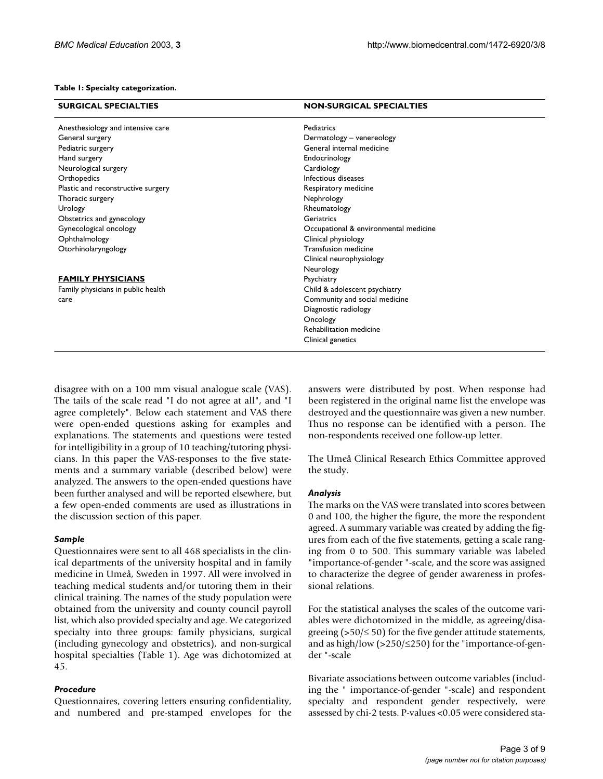#### **Table 1: Specialty categorization.**

| <b>SURGICAL SPECIALTIES</b>        | <b>NON-SURGICAL SPECIALTIES</b>       |  |  |  |  |  |
|------------------------------------|---------------------------------------|--|--|--|--|--|
| Anesthesiology and intensive care  | Pediatrics                            |  |  |  |  |  |
| General surgery                    | Dermatology - venereology             |  |  |  |  |  |
| Pediatric surgery                  | General internal medicine             |  |  |  |  |  |
| Hand surgery                       | Endocrinology                         |  |  |  |  |  |
| Neurological surgery               | Cardiology                            |  |  |  |  |  |
| Orthopedics                        | Infectious diseases                   |  |  |  |  |  |
| Plastic and reconstructive surgery | Respiratory medicine                  |  |  |  |  |  |
| Thoracic surgery                   | Nephrology                            |  |  |  |  |  |
| Urology                            | Rheumatology                          |  |  |  |  |  |
| Obstetrics and gynecology          | Geriatrics                            |  |  |  |  |  |
| Gynecological oncology             | Occupational & environmental medicine |  |  |  |  |  |
| Ophthalmology                      | Clinical physiology                   |  |  |  |  |  |
| Otorhinolaryngology                | Transfusion medicine                  |  |  |  |  |  |
|                                    | Clinical neurophysiology              |  |  |  |  |  |
|                                    | Neurology                             |  |  |  |  |  |
| <b>FAMILY PHYSICIANS</b>           | Psychiatry                            |  |  |  |  |  |
| Family physicians in public health | Child & adolescent psychiatry         |  |  |  |  |  |
| care                               | Community and social medicine         |  |  |  |  |  |
|                                    | Diagnostic radiology                  |  |  |  |  |  |
|                                    | Oncology                              |  |  |  |  |  |
|                                    | Rehabilitation medicine               |  |  |  |  |  |
|                                    | Clinical genetics                     |  |  |  |  |  |

disagree with on a 100 mm visual analogue scale (VAS). The tails of the scale read "I do not agree at all", and "I agree completely". Below each statement and VAS there were open-ended questions asking for examples and explanations. The statements and questions were tested for intelligibility in a group of 10 teaching/tutoring physicians. In this paper the VAS-responses to the five statements and a summary variable (described below) were analyzed. The answers to the open-ended questions have been further analysed and will be reported elsewhere, but a few open-ended comments are used as illustrations in the discussion section of this paper.

#### *Sample*

Questionnaires were sent to all 468 specialists in the clinical departments of the university hospital and in family medicine in Umeå, Sweden in 1997. All were involved in teaching medical students and/or tutoring them in their clinical training. The names of the study population were obtained from the university and county council payroll list, which also provided specialty and age. We categorized specialty into three groups: family physicians, surgical (including gynecology and obstetrics), and non-surgical hospital specialties (Table 1). Age was dichotomized at 45.

#### *Procedure*

Questionnaires, covering letters ensuring confidentiality, and numbered and pre-stamped envelopes for the answers were distributed by post. When response had been registered in the original name list the envelope was destroyed and the questionnaire was given a new number. Thus no response can be identified with a person. The non-respondents received one follow-up letter.

The Umeå Clinical Research Ethics Committee approved the study.

#### *Analysis*

The marks on the VAS were translated into scores between 0 and 100, the higher the figure, the more the respondent agreed. A summary variable was created by adding the figures from each of the five statements, getting a scale ranging from 0 to 500. This summary variable was labeled "importance-of-gender "-scale, and the score was assigned to characterize the degree of gender awareness in professional relations.

For the statistical analyses the scales of the outcome variables were dichotomized in the middle, as agreeing/disagreeing ( $>50/≤ 50$ ) for the five gender attitude statements, and as high/low (>250/≤250) for the "importance-of-gender "-scale

Bivariate associations between outcome variables (including the " importance-of-gender "-scale) and respondent specialty and respondent gender respectively, were assessed by chi-2 tests. P-values <0.05 were considered sta-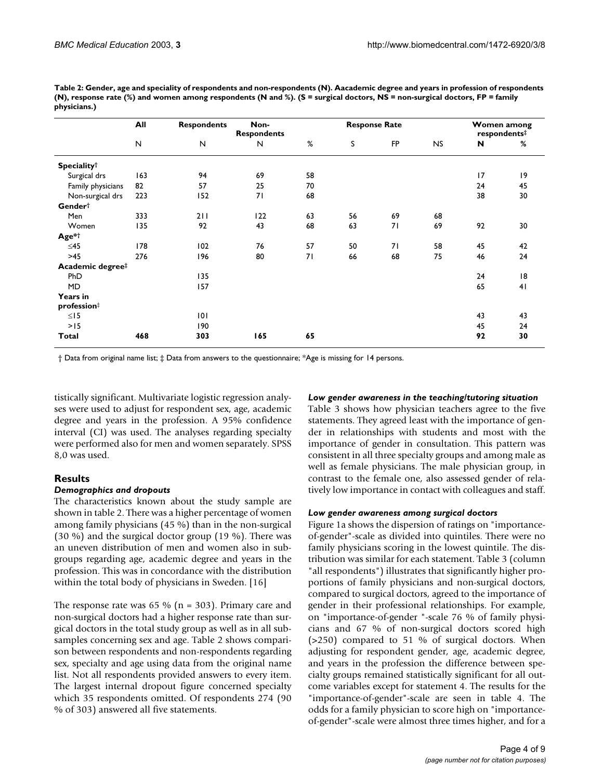**Table 2: Gender, age and speciality of respondents and non-respondents (N). Aacademic degree and years in profession of respondents (N), response rate (%) and women among respondents (N and %). (S = surgical doctors, NS = non-surgical doctors, FP = family physicians.)**

|                                | All | <b>Respondents</b> | Non-<br><b>Respondents</b> | <b>Response Rate</b> |    |           |    |    |                               |
|--------------------------------|-----|--------------------|----------------------------|----------------------|----|-----------|----|----|-------------------------------|
|                                | N   | $\mathsf{N}$       | N                          | %                    | S  | <b>FP</b> | NS | N  | respondents <sup>‡</sup><br>% |
| <b>Speciality</b> <sup>†</sup> |     |                    |                            |                      |    |           |    |    |                               |
| Surgical drs                   | 163 | 94                 | 69                         | 58                   |    |           |    | 17 | 9                             |
| Family physicians              | 82  | 57                 | 25                         | 70                   |    |           |    | 24 | 45                            |
| Non-surgical drs               | 223 | 152                | 71                         | 68                   |    |           |    | 38 | 30                            |
| Gender <sup>†</sup>            |     |                    |                            |                      |    |           |    |    |                               |
| Men                            | 333 | 211                | 122                        | 63                   | 56 | 69        | 68 |    |                               |
| Women                          | 135 | 92                 | 43                         | 68                   | 63 | 71        | 69 | 92 | 30                            |
| Age*†                          |     |                    |                            |                      |    |           |    |    |                               |
| ≤45                            | 178 | 102                | 76                         | 57                   | 50 | 71        | 58 | 45 | 42                            |
| $>45$                          | 276 | 196                | 80                         | 71                   | 66 | 68        | 75 | 46 | 24                            |
| Academic degree#               |     |                    |                            |                      |    |           |    |    |                               |
| PhD                            |     | 135                |                            |                      |    |           |    | 24 | 18                            |
| MD                             |     | 157                |                            |                      |    |           |    | 65 | 41                            |
| Years in                       |     |                    |                            |                      |    |           |    |    |                               |
| profession#                    |     |                    |                            |                      |    |           |    |    |                               |
| $\leq$ 15                      |     | 101                |                            |                      |    |           |    | 43 | 43                            |
| >15                            |     | 190                |                            |                      |    |           |    | 45 | 24                            |
| Total                          | 468 | 303                | 165                        | 65                   |    |           |    | 92 | 30                            |

† Data from original name list; ‡ Data from answers to the questionnaire; \*Age is missing for 14 persons.

tistically significant. Multivariate logistic regression analyses were used to adjust for respondent sex, age, academic degree and years in the profession. A 95% confidence interval (CI) was used. The analyses regarding specialty were performed also for men and women separately. SPSS 8,0 was used.

#### **Results**

#### *Demographics and dropouts*

The characteristics known about the study sample are shown in table 2. There was a higher percentage of women among family physicians (45 %) than in the non-surgical (30 %) and the surgical doctor group (19 %). There was an uneven distribution of men and women also in subgroups regarding age, academic degree and years in the profession. This was in concordance with the distribution within the total body of physicians in Sweden. [16]

The response rate was 65 % ( $n = 303$ ). Primary care and non-surgical doctors had a higher response rate than surgical doctors in the total study group as well as in all subsamples concerning sex and age. Table 2 shows comparison between respondents and non-respondents regarding sex, specialty and age using data from the original name list. Not all respondents provided answers to every item. The largest internal dropout figure concerned specialty which 35 respondents omitted. Of respondents 274 (90 % of 303) answered all five statements.

#### *Low gender awareness in the teaching/tutoring situation*

Table [3](#page-4-0) shows how physician teachers agree to the five statements. They agreed least with the importance of gender in relationships with students and most with the importance of gender in consultation. This pattern was consistent in all three specialty groups and among male as well as female physicians. The male physician group, in contrast to the female one, also assessed gender of relatively low importance in contact with colleagues and staff.

#### *Low gender awareness among surgical doctors*

Figure 1a shows the dispersion of ratings on "importanceof-gender"-scale as divided into quintiles. There were no family physicians scoring in the lowest quintile. The distribution was similar for each statement. Table [3](#page-4-0) (column "all respondents") illustrates that significantly higher proportions of family physicians and non-surgical doctors, compared to surgical doctors, agreed to the importance of gender in their professional relationships. For example, on "importance-of-gender "-scale 76 % of family physicians and 67 % of non-surgical doctors scored high (>250) compared to 51 % of surgical doctors. When adjusting for respondent gender, age, academic degree, and years in the profession the difference between specialty groups remained statistically significant for all outcome variables except for statement 4. The results for the "importance-of-gender"-scale are seen in table [4](#page-5-0). The odds for a family physician to score high on "importanceof-gender"-scale were almost three times higher, and for a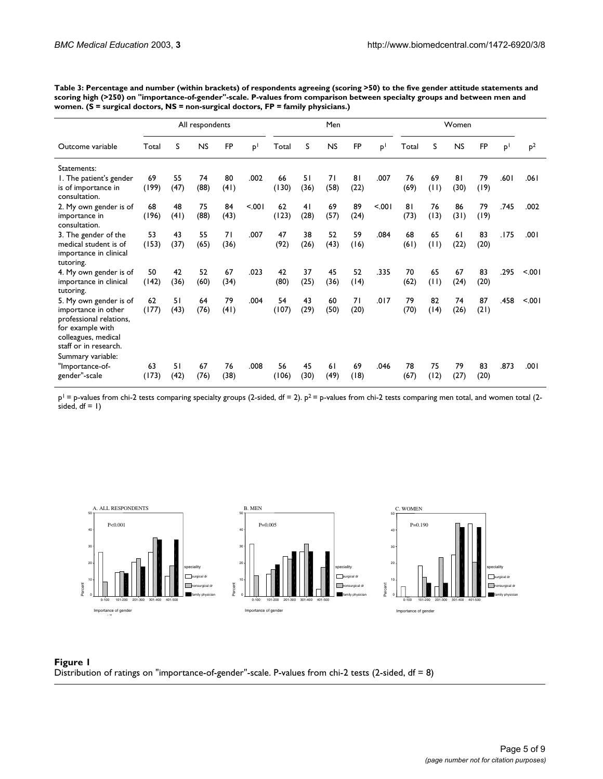|                                                                                                                                         | All respondents |      |           |            |                | Men   |      |           |           | Women          |       |      |           |      |                |                |
|-----------------------------------------------------------------------------------------------------------------------------------------|-----------------|------|-----------|------------|----------------|-------|------|-----------|-----------|----------------|-------|------|-----------|------|----------------|----------------|
| Outcome variable                                                                                                                        | Total           | S    | <b>NS</b> | <b>FP</b>  | P <sup>1</sup> | Total | S    | <b>NS</b> | <b>FP</b> | P <sup>1</sup> | Total | S    | <b>NS</b> | FP   | P <sup>1</sup> | p <sup>2</sup> |
| Statements:                                                                                                                             |                 |      |           |            |                |       |      |           |           |                |       |      |           |      |                |                |
| 1. The patient's gender                                                                                                                 | 69              | 55   | 74        | 80         | .002           | 66    | 51   | 71        | 81        | .007           | 76    | 69   | 81        | 79   | .601           | .061           |
| is of importance in<br>consultation.                                                                                                    | (199)           | (47) | (88)      | (41)       |                | (130) | (36) | (58)      | (22)      |                | (69)  | (11) | (30)      | (19) |                |                |
| 2. My own gender is of                                                                                                                  | 68              | 48   | 75        | 84         | < 0.01         | 62    | 41   | 69        | 89        | < 0.01         | 81    | 76   | 86        | 79   | .745           | .002           |
| importance in<br>consultation.                                                                                                          | (196)           | (41) | (88)      | (43)       |                | (123) | (28) | (57)      | (24)      |                | (73)  | (13) | (31)      | (19) |                |                |
| 3. The gender of the                                                                                                                    | 53              | 43   | 55        | 71         | .007           | 47    | 38   | 52        | 59        | .084           | 68    | 65   | 61        | 83   | .175           | .001           |
| medical student is of<br>importance in clinical<br>tutoring.                                                                            | (153)           | (37) | (65)      | (36)       |                | (92)  | (26) | (43)      | (16)      |                | (61)  | (11) | (22)      | (20) |                |                |
| 4. My own gender is of                                                                                                                  | 50              | 42   | 52        | 67         | .023           | 42    | 37   | 45        | 52        | .335           | 70    | 65   | 67        | 83   | .295           | < 001          |
| importance in clinical<br>tutoring.                                                                                                     | (142)           | (36) | (60)      | (34)       |                | (80)  | (25) | (36)      | (14)      |                | (62)  | (11) | (24)      | (20) |                |                |
| 5. My own gender is of                                                                                                                  | 62              | 51   | 64        | 79         | .004           | 54    | 43   | 60        | 71        | .017           | 79    | 82   | 74        | 87   | .458           | < 001          |
| importance in other<br>professional relations,<br>for example with<br>colleagues, medical<br>staff or in research.<br>Summary variable: | (177)           | (43) | (76)      | (41)       |                | (107) | (29) | (50)      | (20)      |                | (70)  | (14) | (26)      | (21) |                |                |
| "Importance-of-                                                                                                                         | 63              | 51   | 67        | 76<br>(38) | .008           | 56    | 45   | 61        | 69        | .046           | 78    | 75   | 79        | 83   | .873           | .001           |
| gender"-scale                                                                                                                           | (173)           | (42) | (76)      |            |                | (106) | (30) | (49)      | (18)      |                | (67)  | (12) | (27)      | (20) |                |                |

<span id="page-4-0"></span>**Table 3: Percentage and number (within brackets) of respondents agreeing (scoring >50) to the five gender attitude statements and scoring high (>250) on "importance-of-gender"-scale. P-values from comparison between specialty groups and between men and women. (S = surgical doctors, NS = non-surgical doctors, FP = family physicians.)**

 $p^1$  = p-values from chi-2 tests comparing specialty groups (2-sided, df = 2).  $p^2$  = p-values from chi-2 tests comparing men total, and women total (2sided,  $df = 1$ )



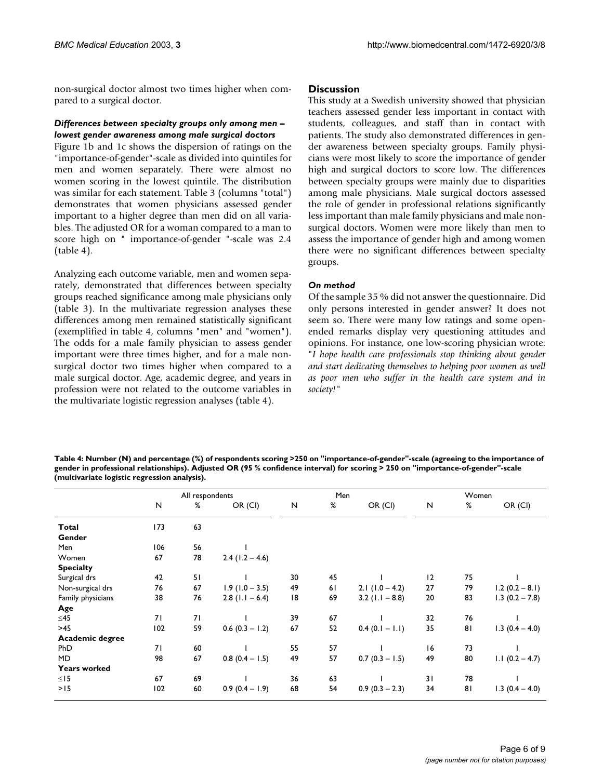non-surgical doctor almost two times higher when compared to a surgical doctor.

#### *Differences between specialty groups only among men – lowest gender awareness among male surgical doctors*

Figure 1b and 1c shows the dispersion of ratings on the "importance-of-gender"-scale as divided into quintiles for men and women separately. There were almost no women scoring in the lowest quintile. The distribution was similar for each statement. Table [3](#page-4-0) (columns "total") demonstrates that women physicians assessed gender important to a higher degree than men did on all variables. The adjusted OR for a woman compared to a man to score high on " importance-of-gender "-scale was 2.4 (table [4\)](#page-5-0).

Analyzing each outcome variable, men and women separately, demonstrated that differences between specialty groups reached significance among male physicians only (table [3\)](#page-4-0). In the multivariate regression analyses these differences among men remained statistically significant (exemplified in table [4](#page-5-0), columns "men" and "women"). The odds for a male family physician to assess gender important were three times higher, and for a male nonsurgical doctor two times higher when compared to a male surgical doctor. Age, academic degree, and years in profession were not related to the outcome variables in the multivariate logistic regression analyses (table [4\)](#page-5-0).

#### **Discussion**

This study at a Swedish university showed that physician teachers assessed gender less important in contact with students, colleagues, and staff than in contact with patients. The study also demonstrated differences in gender awareness between specialty groups. Family physicians were most likely to score the importance of gender high and surgical doctors to score low. The differences between specialty groups were mainly due to disparities among male physicians. Male surgical doctors assessed the role of gender in professional relations significantly less important than male family physicians and male nonsurgical doctors. Women were more likely than men to assess the importance of gender high and among women there were no significant differences between specialty groups.

#### *On method*

Of the sample 35 % did not answer the questionnaire. Did only persons interested in gender answer? It does not seem so. There were many low ratings and some openended remarks display very questioning attitudes and opinions. For instance, one low-scoring physician wrote: "*I hope health care professionals stop thinking about gender and start dedicating themselves to helping poor women as well as poor men who suffer in the health care system and in society!"*

<span id="page-5-0"></span>**Table 4: Number (N) and percentage (%) of respondents scoring >250 on "importance-of-gender"-scale (agreeing to the importance of gender in professional relationships). Adjusted OR (95 % confidence interval) for scoring > 250 on "importance-of-gender"-scale (multivariate logistic regression analysis).**

|                     |              | All respondents |                   |    | Men |                   | Women     |      |                   |  |
|---------------------|--------------|-----------------|-------------------|----|-----|-------------------|-----------|------|-------------------|--|
|                     | $\mathsf{N}$ | %               | OR (CI)           | N  | %   | OR (CI)           | ${\sf N}$ | $\%$ | OR (CI)           |  |
| Total               | 173          | 63              |                   |    |     |                   |           |      |                   |  |
| Gender              |              |                 |                   |    |     |                   |           |      |                   |  |
| Men                 | 106          | 56              |                   |    |     |                   |           |      |                   |  |
| Women               | 67           | 78              | $2.4(1.2 - 4.6)$  |    |     |                   |           |      |                   |  |
| <b>Specialty</b>    |              |                 |                   |    |     |                   |           |      |                   |  |
| Surgical drs        | 42           | 51              |                   | 30 | 45  |                   | 12        | 75   |                   |  |
| Non-surgical drs    | 76           | 67              | $1.9(1.0 - 3.5)$  | 49 | 61  | 2.1 $(1.0 - 4.2)$ | 27        | 79   | $1.2(0.2 - 8.1)$  |  |
| Family physicians   | 38           | 76              | $2.8$ (1.1 – 6.4) | 18 | 69  | 3.2 $(1.1 - 8.8)$ | 20        | 83   | $1.3$ (0.2 – 7.8) |  |
| Age                 |              |                 |                   |    |     |                   |           |      |                   |  |
| ≤45                 | 71           | 71              |                   | 39 | 67  |                   | 32        | 76   |                   |  |
| $>45$               | 102          | 59              | $0.6$ (0.3 - 1.2) | 67 | 52  | $0.4(0.1 - 1.1)$  | 35        | 81   | $1.3(0.4 - 4.0)$  |  |
| Academic degree     |              |                 |                   |    |     |                   |           |      |                   |  |
| <b>PhD</b>          | 71           | 60              |                   | 55 | 57  |                   | 16        | 73   |                   |  |
| <b>MD</b>           | 98           | 67              | $0.8$ (0.4 – 1.5) | 49 | 57  | $0.7(0.3 - 1.5)$  | 49        | 80   | $1.1 (0.2 - 4.7)$ |  |
| <b>Years worked</b> |              |                 |                   |    |     |                   |           |      |                   |  |
| $\leq$ 15           | 67           | 69              |                   | 36 | 63  |                   | 31        | 78   |                   |  |
| >15                 | 102          | 60              | $0.9(0.4 - 1.9)$  | 68 | 54  | $0.9(0.3 - 2.3)$  | 34        | 81   | $1.3(0.4 - 4.0)$  |  |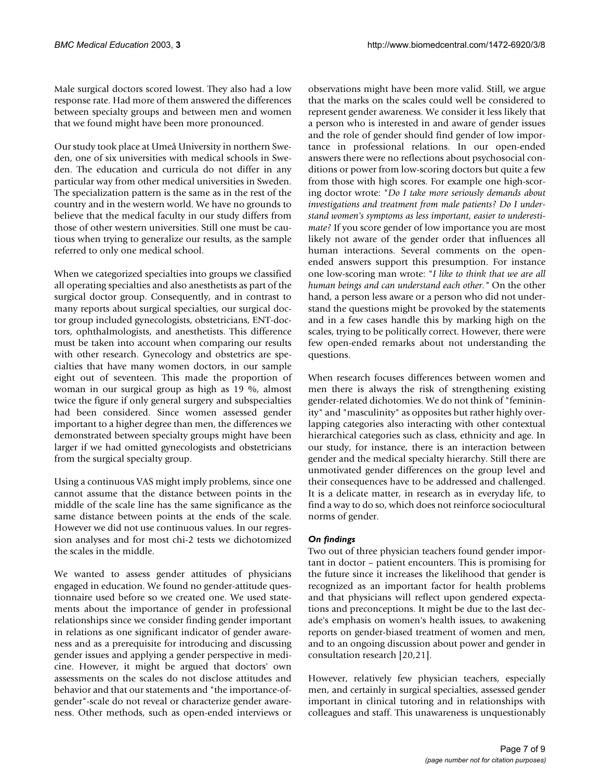Male surgical doctors scored lowest. They also had a low response rate. Had more of them answered the differences between specialty groups and between men and women that we found might have been more pronounced.

Our study took place at Umeå University in northern Sweden, one of six universities with medical schools in Sweden. The education and curricula do not differ in any particular way from other medical universities in Sweden. The specialization pattern is the same as in the rest of the country and in the western world. We have no grounds to believe that the medical faculty in our study differs from those of other western universities. Still one must be cautious when trying to generalize our results, as the sample referred to only one medical school.

When we categorized specialties into groups we classified all operating specialties and also anesthetists as part of the surgical doctor group. Consequently, and in contrast to many reports about surgical specialties, our surgical doctor group included gynecologists, obstetricians, ENT-doctors, ophthalmologists, and anesthetists. This difference must be taken into account when comparing our results with other research. Gynecology and obstetrics are specialties that have many women doctors, in our sample eight out of seventeen. This made the proportion of woman in our surgical group as high as 19 %, almost twice the figure if only general surgery and subspecialties had been considered. Since women assessed gender important to a higher degree than men, the differences we demonstrated between specialty groups might have been larger if we had omitted gynecologists and obstetricians from the surgical specialty group.

Using a continuous VAS might imply problems, since one cannot assume that the distance between points in the middle of the scale line has the same significance as the same distance between points at the ends of the scale. However we did not use continuous values. In our regression analyses and for most chi-2 tests we dichotomized the scales in the middle.

We wanted to assess gender attitudes of physicians engaged in education. We found no gender-attitude questionnaire used before so we created one. We used statements about the importance of gender in professional relationships since we consider finding gender important in relations as one significant indicator of gender awareness and as a prerequisite for introducing and discussing gender issues and applying a gender perspective in medicine. However, it might be argued that doctors' own assessments on the scales do not disclose attitudes and behavior and that our statements and "the importance-ofgender"-scale do not reveal or characterize gender awareness. Other methods, such as open-ended interviews or observations might have been more valid. Still, we argue that the marks on the scales could well be considered to represent gender awareness. We consider it less likely that a person who is interested in and aware of gender issues and the role of gender should find gender of low importance in professional relations. In our open-ended answers there were no reflections about psychosocial conditions or power from low-scoring doctors but quite a few from those with high scores. For example one high-scoring doctor wrote: "*Do I take more seriously demands about investigations and treatment from male patients? Do I understand women's symptoms as less important, easier to underestimate?* If you score gender of low importance you are most likely not aware of the gender order that influences all human interactions. Several comments on the openended answers support this presumption. For instance one low-scoring man wrote: "*I like to think that we are all human beings and can understand each other."* On the other hand, a person less aware or a person who did not understand the questions might be provoked by the statements and in a few cases handle this by marking high on the scales, trying to be politically correct. However, there were few open-ended remarks about not understanding the questions.

When research focuses differences between women and men there is always the risk of strengthening existing gender-related dichotomies. We do not think of "femininity" and "masculinity" as opposites but rather highly overlapping categories also interacting with other contextual hierarchical categories such as class, ethnicity and age. In our study, for instance, there is an interaction between gender and the medical specialty hierarchy. Still there are unmotivated gender differences on the group level and their consequences have to be addressed and challenged. It is a delicate matter, in research as in everyday life, to find a way to do so, which does not reinforce sociocultural norms of gender.

#### *On findings*

Two out of three physician teachers found gender important in doctor – patient encounters. This is promising for the future since it increases the likelihood that gender is recognized as an important factor for health problems and that physicians will reflect upon gendered expectations and preconceptions. It might be due to the last decade's emphasis on women's health issues, to awakening reports on gender-biased treatment of women and men, and to an ongoing discussion about power and gender in consultation research [20,21].

However, relatively few physician teachers, especially men, and certainly in surgical specialties, assessed gender important in clinical tutoring and in relationships with colleagues and staff. This unawareness is unquestionably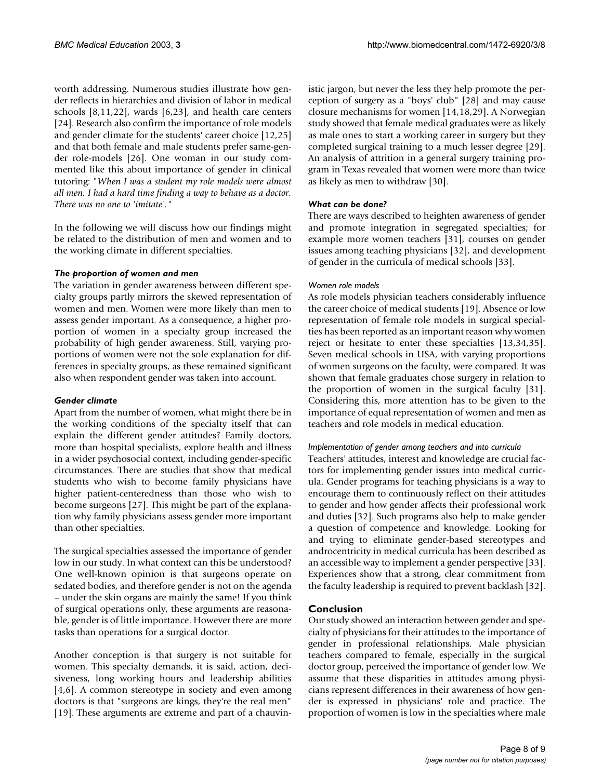worth addressing. Numerous studies illustrate how gender reflects in hierarchies and division of labor in medical schools [8,11,22], wards [6,23], and health care centers [24]. Research also confirm the importance of role models and gender climate for the students' career choice [12,25] and that both female and male students prefer same-gender role-models [26]. One woman in our study commented like this about importance of gender in clinical tutoring: "*When I was a student my role models were almost all men. I had a hard time finding a way to behave as a doctor. There was no one to 'imitate'."*

In the following we will discuss how our findings might be related to the distribution of men and women and to the working climate in different specialties.

#### *The proportion of women and men*

The variation in gender awareness between different specialty groups partly mirrors the skewed representation of women and men. Women were more likely than men to assess gender important. As a consequence, a higher proportion of women in a specialty group increased the probability of high gender awareness. Still, varying proportions of women were not the sole explanation for differences in specialty groups, as these remained significant also when respondent gender was taken into account.

#### *Gender climate*

Apart from the number of women, what might there be in the working conditions of the specialty itself that can explain the different gender attitudes? Family doctors, more than hospital specialists, explore health and illness in a wider psychosocial context, including gender-specific circumstances. There are studies that show that medical students who wish to become family physicians have higher patient-centeredness than those who wish to become surgeons [27]. This might be part of the explanation why family physicians assess gender more important than other specialties.

The surgical specialties assessed the importance of gender low in our study. In what context can this be understood? One well-known opinion is that surgeons operate on sedated bodies, and therefore gender is not on the agenda – under the skin organs are mainly the same! If you think of surgical operations only, these arguments are reasonable, gender is of little importance. However there are more tasks than operations for a surgical doctor.

Another conception is that surgery is not suitable for women. This specialty demands, it is said, action, decisiveness, long working hours and leadership abilities [4,6]. A common stereotype in society and even among doctors is that "surgeons are kings, they're the real men" [19]. These arguments are extreme and part of a chauvinistic jargon, but never the less they help promote the perception of surgery as a "boys' club" [28] and may cause closure mechanisms for women [14,18,29]. A Norwegian study showed that female medical graduates were as likely as male ones to start a working career in surgery but they completed surgical training to a much lesser degree [29]. An analysis of attrition in a general surgery training program in Texas revealed that women were more than twice as likely as men to withdraw [30].

## *What can be done?*

There are ways described to heighten awareness of gender and promote integration in segregated specialties; for example more women teachers [31], courses on gender issues among teaching physicians [32], and development of gender in the curricula of medical schools [33].

## *Women role models*

As role models physician teachers considerably influence the career choice of medical students [19]. Absence or low representation of female role models in surgical specialties has been reported as an important reason why women reject or hesitate to enter these specialties [13,34,35]. Seven medical schools in USA, with varying proportions of women surgeons on the faculty, were compared. It was shown that female graduates chose surgery in relation to the proportion of women in the surgical faculty [31]. Considering this, more attention has to be given to the importance of equal representation of women and men as teachers and role models in medical education.

# *Implementation of gender among teachers and into curricula*

Teachers' attitudes, interest and knowledge are crucial factors for implementing gender issues into medical curricula. Gender programs for teaching physicians is a way to encourage them to continuously reflect on their attitudes to gender and how gender affects their professional work and duties [32]. Such programs also help to make gender a question of competence and knowledge. Looking for and trying to eliminate gender-based stereotypes and androcentricity in medical curricula has been described as an accessible way to implement a gender perspective [33]. Experiences show that a strong, clear commitment from the faculty leadership is required to prevent backlash [32].

# **Conclusion**

Our study showed an interaction between gender and specialty of physicians for their attitudes to the importance of gender in professional relationships. Male physician teachers compared to female, especially in the surgical doctor group, perceived the importance of gender low. We assume that these disparities in attitudes among physicians represent differences in their awareness of how gender is expressed in physicians' role and practice. The proportion of women is low in the specialties where male